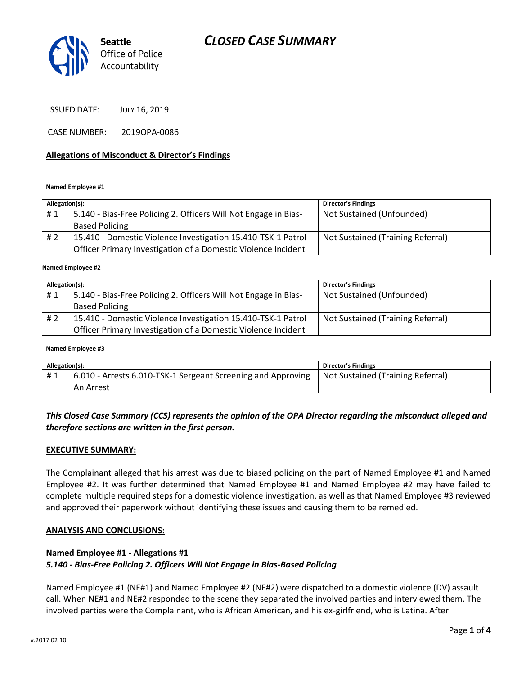# *CLOSED CASE SUMMARY*



ISSUED DATE: JULY 16, 2019

CASE NUMBER: 2019OPA-0086

#### **Allegations of Misconduct & Director's Findings**

#### **Named Employee #1**

| Allegation(s): |                                                                 | <b>Director's Findings</b>        |
|----------------|-----------------------------------------------------------------|-----------------------------------|
| #1             | 5.140 - Bias-Free Policing 2. Officers Will Not Engage in Bias- | Not Sustained (Unfounded)         |
|                | <b>Based Policing</b>                                           |                                   |
| #2             | 15.410 - Domestic Violence Investigation 15.410-TSK-1 Patrol    | Not Sustained (Training Referral) |
|                | Officer Primary Investigation of a Domestic Violence Incident   |                                   |

#### ؚ<br>ا **Named Employee #2**

| Allegation(s): |                                                                 | <b>Director's Findings</b>        |
|----------------|-----------------------------------------------------------------|-----------------------------------|
| #1             | 5.140 - Bias-Free Policing 2. Officers Will Not Engage in Bias- | Not Sustained (Unfounded)         |
|                | <b>Based Policing</b>                                           |                                   |
| #2             | 15.410 - Domestic Violence Investigation 15.410-TSK-1 Patrol    | Not Sustained (Training Referral) |
|                | Officer Primary Investigation of a Domestic Violence Incident   |                                   |

#### **Named Employee #3**

| Allegation(s): |                                                              | Director's Findings               |
|----------------|--------------------------------------------------------------|-----------------------------------|
| #1             | 6.010 - Arrests 6.010-TSK-1 Sergeant Screening and Approving | Not Sustained (Training Referral) |
|                | An Arrest                                                    |                                   |

### *This Closed Case Summary (CCS) represents the opinion of the OPA Director regarding the misconduct alleged and therefore sections are written in the first person.*

#### **EXECUTIVE SUMMARY:**

The Complainant alleged that his arrest was due to biased policing on the part of Named Employee #1 and Named Employee #2. It was further determined that Named Employee #1 and Named Employee #2 may have failed to complete multiple required steps for a domestic violence investigation, as well as that Named Employee #3 reviewed and approved their paperwork without identifying these issues and causing them to be remedied.

#### **ANALYSIS AND CONCLUSIONS:**

### **Named Employee #1 - Allegations #1** *5.140 - Bias-Free Policing 2. Officers Will Not Engage in Bias-Based Policing*

Named Employee #1 (NE#1) and Named Employee #2 (NE#2) were dispatched to a domestic violence (DV) assault call. When NE#1 and NE#2 responded to the scene they separated the involved parties and interviewed them. The involved parties were the Complainant, who is African American, and his ex-girlfriend, who is Latina. After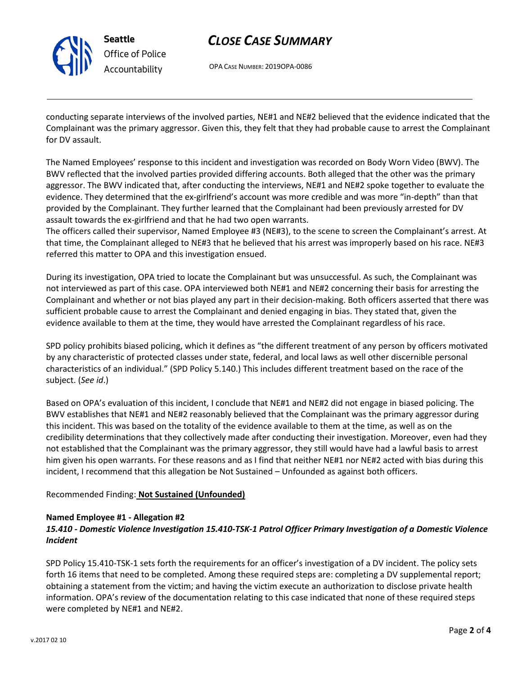

# *CLOSE CASE SUMMARY*

OPA CASE NUMBER: 2019OPA-0086

conducting separate interviews of the involved parties, NE#1 and NE#2 believed that the evidence indicated that the Complainant was the primary aggressor. Given this, they felt that they had probable cause to arrest the Complainant for DV assault.

The Named Employees' response to this incident and investigation was recorded on Body Worn Video (BWV). The BWV reflected that the involved parties provided differing accounts. Both alleged that the other was the primary aggressor. The BWV indicated that, after conducting the interviews, NE#1 and NE#2 spoke together to evaluate the evidence. They determined that the ex-girlfriend's account was more credible and was more "in-depth" than that provided by the Complainant. They further learned that the Complainant had been previously arrested for DV assault towards the ex-girlfriend and that he had two open warrants.

The officers called their supervisor, Named Employee #3 (NE#3), to the scene to screen the Complainant's arrest. At that time, the Complainant alleged to NE#3 that he believed that his arrest was improperly based on his race. NE#3 referred this matter to OPA and this investigation ensued.

During its investigation, OPA tried to locate the Complainant but was unsuccessful. As such, the Complainant was not interviewed as part of this case. OPA interviewed both NE#1 and NE#2 concerning their basis for arresting the Complainant and whether or not bias played any part in their decision-making. Both officers asserted that there was sufficient probable cause to arrest the Complainant and denied engaging in bias. They stated that, given the evidence available to them at the time, they would have arrested the Complainant regardless of his race.

SPD policy prohibits biased policing, which it defines as "the different treatment of any person by officers motivated by any characteristic of protected classes under state, federal, and local laws as well other discernible personal characteristics of an individual." (SPD Policy 5.140.) This includes different treatment based on the race of the subject. (*See id*.)

Based on OPA's evaluation of this incident, I conclude that NE#1 and NE#2 did not engage in biased policing. The BWV establishes that NE#1 and NE#2 reasonably believed that the Complainant was the primary aggressor during this incident. This was based on the totality of the evidence available to them at the time, as well as on the credibility determinations that they collectively made after conducting their investigation. Moreover, even had they not established that the Complainant was the primary aggressor, they still would have had a lawful basis to arrest him given his open warrants. For these reasons and as I find that neither NE#1 nor NE#2 acted with bias during this incident, I recommend that this allegation be Not Sustained – Unfounded as against both officers.

## Recommended Finding: **Not Sustained (Unfounded)**

#### **Named Employee #1 - Allegation #2**

## *15.410 - Domestic Violence Investigation 15.410-TSK-1 Patrol Officer Primary Investigation of a Domestic Violence Incident*

SPD Policy 15.410-TSK-1 sets forth the requirements for an officer's investigation of a DV incident. The policy sets forth 16 items that need to be completed. Among these required steps are: completing a DV supplemental report; obtaining a statement from the victim; and having the victim execute an authorization to disclose private health information. OPA's review of the documentation relating to this case indicated that none of these required steps were completed by NE#1 and NE#2.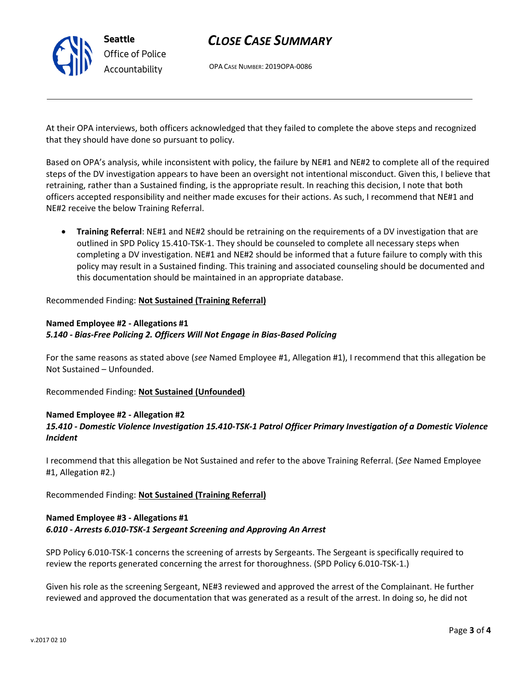

# *CLOSE CASE SUMMARY*

OPA CASE NUMBER: 2019OPA-0086

At their OPA interviews, both officers acknowledged that they failed to complete the above steps and recognized that they should have done so pursuant to policy.

Based on OPA's analysis, while inconsistent with policy, the failure by NE#1 and NE#2 to complete all of the required steps of the DV investigation appears to have been an oversight not intentional misconduct. Given this, I believe that retraining, rather than a Sustained finding, is the appropriate result. In reaching this decision, I note that both officers accepted responsibility and neither made excuses for their actions. As such, I recommend that NE#1 and NE#2 receive the below Training Referral.

• **Training Referral**: NE#1 and NE#2 should be retraining on the requirements of a DV investigation that are outlined in SPD Policy 15.410-TSK-1. They should be counseled to complete all necessary steps when completing a DV investigation. NE#1 and NE#2 should be informed that a future failure to comply with this policy may result in a Sustained finding. This training and associated counseling should be documented and this documentation should be maintained in an appropriate database.

Recommended Finding: **Not Sustained (Training Referral)**

## **Named Employee #2 - Allegations #1** *5.140 - Bias-Free Policing 2. Officers Will Not Engage in Bias-Based Policing*

For the same reasons as stated above (*see* Named Employee #1, Allegation #1), I recommend that this allegation be Not Sustained – Unfounded.

Recommended Finding: **Not Sustained (Unfounded)**

## **Named Employee #2 - Allegation #2**

# *15.410 - Domestic Violence Investigation 15.410-TSK-1 Patrol Officer Primary Investigation of a Domestic Violence Incident*

I recommend that this allegation be Not Sustained and refer to the above Training Referral. (*See* Named Employee #1, Allegation #2.)

Recommended Finding: **Not Sustained (Training Referral)**

## **Named Employee #3 - Allegations #1** *6.010 - Arrests 6.010-TSK-1 Sergeant Screening and Approving An Arrest*

SPD Policy 6.010-TSK-1 concerns the screening of arrests by Sergeants. The Sergeant is specifically required to review the reports generated concerning the arrest for thoroughness. (SPD Policy 6.010-TSK-1.)

Given his role as the screening Sergeant, NE#3 reviewed and approved the arrest of the Complainant. He further reviewed and approved the documentation that was generated as a result of the arrest. In doing so, he did not